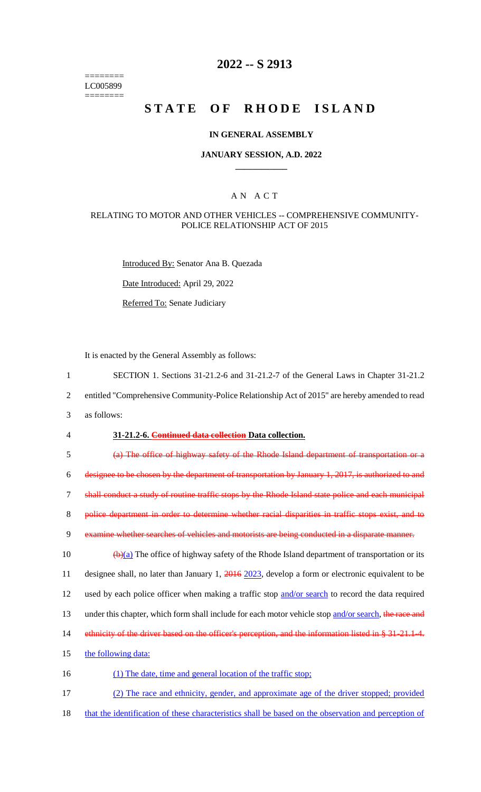======== LC005899 ========

# **2022 -- S 2913**

# **STATE OF RHODE ISLAND**

### **IN GENERAL ASSEMBLY**

### **JANUARY SESSION, A.D. 2022 \_\_\_\_\_\_\_\_\_\_\_\_**

### A N A C T

### RELATING TO MOTOR AND OTHER VEHICLES -- COMPREHENSIVE COMMUNITY-POLICE RELATIONSHIP ACT OF 2015

Introduced By: Senator Ana B. Quezada

Date Introduced: April 29, 2022

Referred To: Senate Judiciary

It is enacted by the General Assembly as follows:

- 1 SECTION 1. Sections 31-21.2-6 and 31-21.2-7 of the General Laws in Chapter 31-21.2
- 2 entitled "Comprehensive Community-Police Relationship Act of 2015" are hereby amended to read
- 3 as follows:

#### 4 **31-21.2-6. Continued data collection Data collection.**

5 (a) The office of highway safety of the Rhode Island department of transportation or a

6 designee to be chosen by the department of transportation by January 1, 2017, is authorized to and

7 shall conduct a study of routine traffic stops by the Rhode Island state police and each municipal

8 police department in order to determine whether racial disparities in traffic stops exist, and to

9 examine whether searches of vehicles and motorists are being conducted in a disparate manner.

10  $\left(\frac{b}{a}\right)$  The office of highway safety of the Rhode Island department of transportation or its 11 designee shall, no later than January 1, 2016 2023, develop a form or electronic equivalent to be 12 used by each police officer when making a traffic stop and/or search to record the data required 13 under this chapter, which form shall include for each motor vehicle stop and/or search, the race and 14 ethnicity of the driver based on the officer's perception, and the information listed in § 31-21.1-4.

- 15 the following data:
- 16 (1) The date, time and general location of the traffic stop;

17 (2) The race and ethnicity, gender, and approximate age of the driver stopped; provided

18 that the identification of these characteristics shall be based on the observation and perception of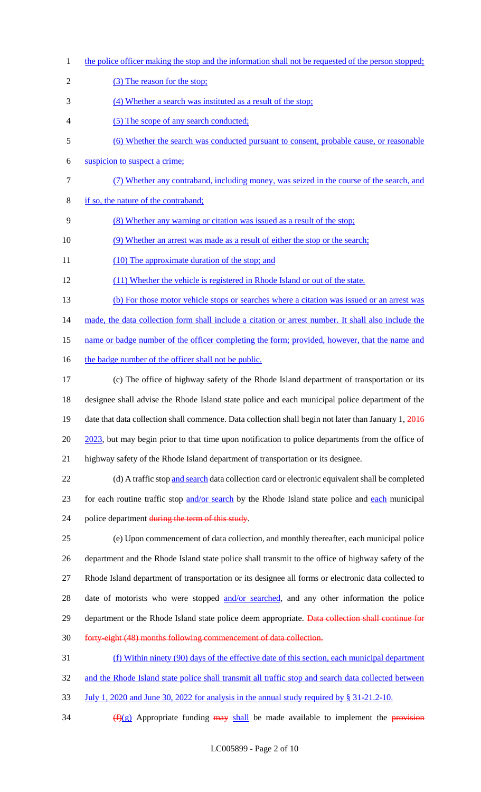- 1 the police officer making the stop and the information shall not be requested of the person stopped; 2 (3) The reason for the stop; 3 (4) Whether a search was instituted as a result of the stop; 4 (5) The scope of any search conducted; 5 (6) Whether the search was conducted pursuant to consent, probable cause, or reasonable 6 suspicion to suspect a crime; 7 (7) Whether any contraband, including money, was seized in the course of the search, and 8 if so, the nature of the contraband; 9 (8) Whether any warning or citation was issued as a result of the stop; 10 (9) Whether an arrest was made as a result of either the stop or the search; 11 (10) The approximate duration of the stop; and 12 (11) Whether the vehicle is registered in Rhode Island or out of the state. 13 (b) For those motor vehicle stops or searches where a citation was issued or an arrest was 14 made, the data collection form shall include a citation or arrest number. It shall also include the 15 name or badge number of the officer completing the form; provided, however, that the name and 16 the badge number of the officer shall not be public. 17 (c) The office of highway safety of the Rhode Island department of transportation or its
- 18 designee shall advise the Rhode Island state police and each municipal police department of the 19 date that data collection shall commence. Data collection shall begin not later than January 1, 2016 20 2023, but may begin prior to that time upon notification to police departments from the office of 21 highway safety of the Rhode Island department of transportation or its designee.

22 (d) A traffic stop and search data collection card or electronic equivalent shall be completed 23 for each routine traffic stop and/or search by the Rhode Island state police and each municipal 24 police department during the term of this study.

 (e) Upon commencement of data collection, and monthly thereafter, each municipal police department and the Rhode Island state police shall transmit to the office of highway safety of the Rhode Island department of transportation or its designee all forms or electronic data collected to 28 date of motorists who were stopped and/or searched, and any other information the police 29 department or the Rhode Island state police deem appropriate. Data collection shall continue for forty-eight (48) months following commencement of data collection.

31 (f) Within ninety (90) days of the effective date of this section, each municipal department 32 and the Rhode Island state police shall transmit all traffic stop and search data collected between

- 33 July 1, 2020 and June 30, 2022 for analysis in the annual study required by § 31-21.2-10.
- 34  $(f)(g)$  Appropriate funding  $\frac{may}{h}$  shall be made available to implement the provision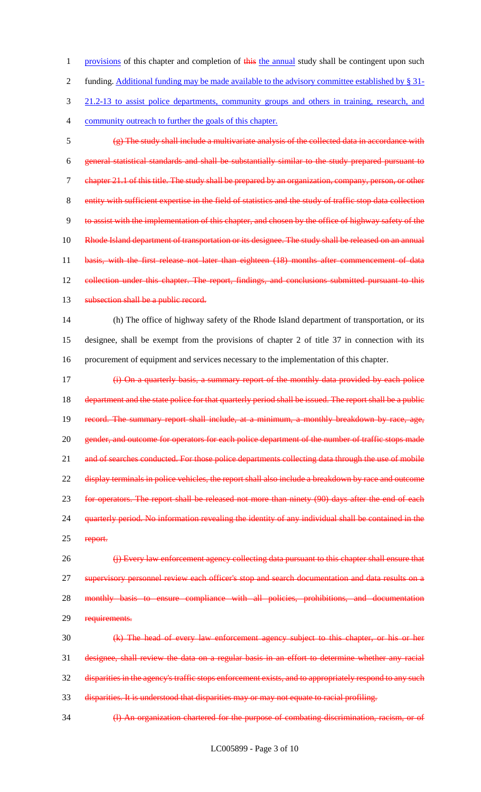1 provisions of this chapter and completion of this the annual study shall be contingent upon such 2 funding. Additional funding may be made available to the advisory committee established by § 31- 3 21.2-13 to assist police departments, community groups and others in training, research, and 4 community outreach to further the goals of this chapter.

5 (g) The study shall include a multivariate analysis of the collected data in accordance with 6 general statistical standards and shall be substantially similar to the study prepared pursuant to 7 chapter 21.1 of this title. The study shall be prepared by an organization, company, person, or other 8 entity with sufficient expertise in the field of statistics and the study of traffic stop data collection 9 to assist with the implementation of this chapter, and chosen by the office of highway safety of the 10 Rhode Island department of transportation or its designee. The study shall be released on an annual 11 basis, with the first release not later than eighteen (18) months after commencement of data 12 eollection under this chapter. The report, findings, and conclusions submitted pursuant to this 13 subsection shall be a public record.

14 (h) The office of highway safety of the Rhode Island department of transportation, or its 15 designee, shall be exempt from the provisions of chapter 2 of title 37 in connection with its 16 procurement of equipment and services necessary to the implementation of this chapter.

17 (i) On a quarterly basis, a summary report of the monthly data provided by each police 18 department and the state police for that quarterly period shall be issued. The report shall be a public 19 record. The summary report shall include, at a minimum, a monthly breakdown by race, age, 20 gender, and outcome for operators for each police department of the number of traffic stops made 21 and of searches conducted. For those police departments collecting data through the use of mobile 22 display terminals in police vehicles, the report shall also include a breakdown by race and outcome 23 for operators. The report shall be released not more than ninety (90) days after the end of each 24 quarterly period. No information revealing the identity of any individual shall be contained in the 25 report.

26 (j) Every law enforcement agency collecting data pursuant to this chapter shall ensure that 27 supervisory personnel review each officer's stop and search documentation and data results on a 28 monthly basis to ensure compliance with all policies, prohibitions, and documentation 29 requirements.

 (k) The head of every law enforcement agency subject to this chapter, or his or her designee, shall review the data on a regular basis in an effort to determine whether any racial disparities in the agency's traffic stops enforcement exists, and to appropriately respond to any such disparities. It is understood that disparities may or may not equate to racial profiling.

34 (l) An organization chartered for the purpose of combating discrimination, racism, or of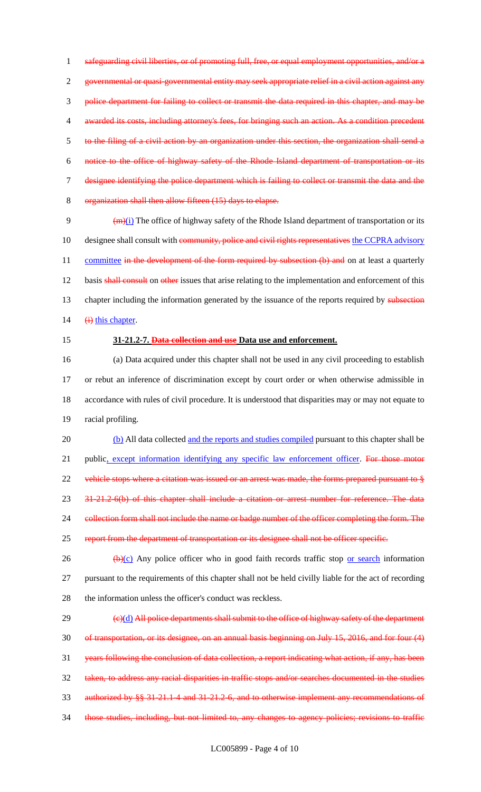safeguarding civil liberties, or of promoting full, free, or equal employment opportunities, and/or a governmental or quasi-governmental entity may seek appropriate relief in a civil action against any police department for failing to collect or transmit the data required in this chapter, and may be 4 awarded its costs, including attorney's fees, for bringing such an action. As a condition precedent to the filing of a civil action by an organization under this section, the organization shall send a notice to the office of highway safety of the Rhode Island department of transportation or its designee identifying the police department which is failing to collect or transmit the data and the organization shall then allow fifteen (15) days to elapse.

9  $(m)(i)$  The office of highway safety of the Rhode Island department of transportation or its 10 designee shall consult with community, police and civil rights representatives the CCPRA advisory 11 committee in the development of the form required by subsection (b) and on at least a quarterly 12 basis shall consult on other issues that arise relating to the implementation and enforcement of this 13 chapter including the information generated by the issuance of the reports required by subsection 14  $\qquad \qquad \text{(i) this chapter}.$ 

#### 15 **31-21.2-7. Data collection and use Data use and enforcement.**

 (a) Data acquired under this chapter shall not be used in any civil proceeding to establish or rebut an inference of discrimination except by court order or when otherwise admissible in accordance with rules of civil procedure. It is understood that disparities may or may not equate to racial profiling.

20 (b) All data collected and the reports and studies compiled pursuant to this chapter shall be 21 public, except information identifying any specific law enforcement officer. For those motor 22 vehicle stops where a citation was issued or an arrest was made, the forms prepared pursuant to § 23 31-21.2-6(b) of this chapter shall include a citation or arrest number for reference. The data 24 collection form shall not include the name or badge number of the officer completing the form. The 25 report from the department of transportation or its designee shall not be officer specific.

26  $\left(\frac{b}{c}\right)$  Any police officer who in good faith records traffic stop <u>or search</u> information 27 pursuant to the requirements of this chapter shall not be held civilly liable for the act of recording 28 the information unless the officer's conduct was reckless.

 (e)(d) All police departments shall submit to the office of highway safety of the department of transportation, or its designee, on an annual basis beginning on July 15, 2016, and for four (4) years following the conclusion of data collection, a report indicating what action, if any, has been taken, to address any racial disparities in traffic stops and/or searches documented in the studies authorized by §§ 31-21.1-4 and 31-21.2-6, and to otherwise implement any recommendations of 34 those studies, including, but not limited to, any changes to agency policies; revisions to traffic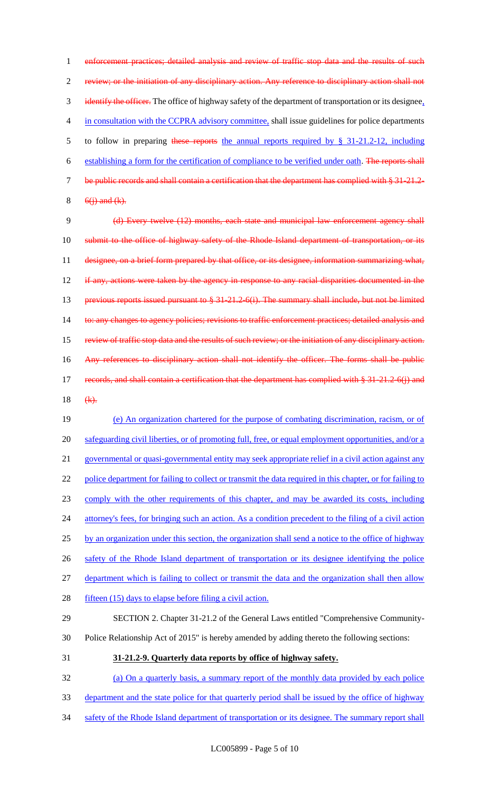1 enforcement practices; detailed analysis and review of traffic stop data and the results of such 2 review; or the initiation of any disciplinary action. Any reference to disciplinary action shall not 3 identify the officer. The office of highway safety of the department of transportation or its designee, 4 in consultation with the CCPRA advisory committee, shall issue guidelines for police departments 5 to follow in preparing these reports the annual reports required by § 31-21.2-12, including 6 establishing a form for the certification of compliance to be verified under oath. The reports shall 7 be public records and shall contain a certification that the department has complied with § 31-21.2- $8 \quad 6(i)$  and  $(k)$ .

9 (d) Every twelve (12) months, each state and municipal law enforcement agency shall 10 submit to the office of highway safety of the Rhode Island department of transportation, or its 11 designee, on a brief form prepared by that office, or its designee, information summarizing what, 12 if any, actions were taken by the agency in response to any racial disparities documented in the 13 previous reports issued pursuant to § 31-21.2-6(i). The summary shall include, but not be limited 14 to: any changes to agency policies; revisions to traffic enforcement practices; detailed analysis and 15 review of traffic stop data and the results of such review; or the initiation of any disciplinary action. 16 Any references to disciplinary action shall not identify the officer. The forms shall be public 17 records, and shall contain a certification that the department has complied with § 31-21.2-6(j) and

18  $(k)$ .

19 (e) An organization chartered for the purpose of combating discrimination, racism, or of 20 safeguarding civil liberties, or of promoting full, free, or equal employment opportunities, and/or a 21 governmental or quasi-governmental entity may seek appropriate relief in a civil action against any 22 police department for failing to collect or transmit the data required in this chapter, or for failing to 23 comply with the other requirements of this chapter, and may be awarded its costs, including 24 attorney's fees, for bringing such an action. As a condition precedent to the filing of a civil action 25 by an organization under this section, the organization shall send a notice to the office of highway 26 safety of the Rhode Island department of transportation or its designee identifying the police 27 department which is failing to collect or transmit the data and the organization shall then allow 28 fifteen (15) days to elapse before filing a civil action. 29 SECTION 2. Chapter 31-21.2 of the General Laws entitled "Comprehensive Community-

- 30 Police Relationship Act of 2015" is hereby amended by adding thereto the following sections:
- 31 **31-21.2-9. Quarterly data reports by office of highway safety.**

32 (a) On a quarterly basis, a summary report of the monthly data provided by each police

- 33 department and the state police for that quarterly period shall be issued by the office of highway
- 34 safety of the Rhode Island department of transportation or its designee. The summary report shall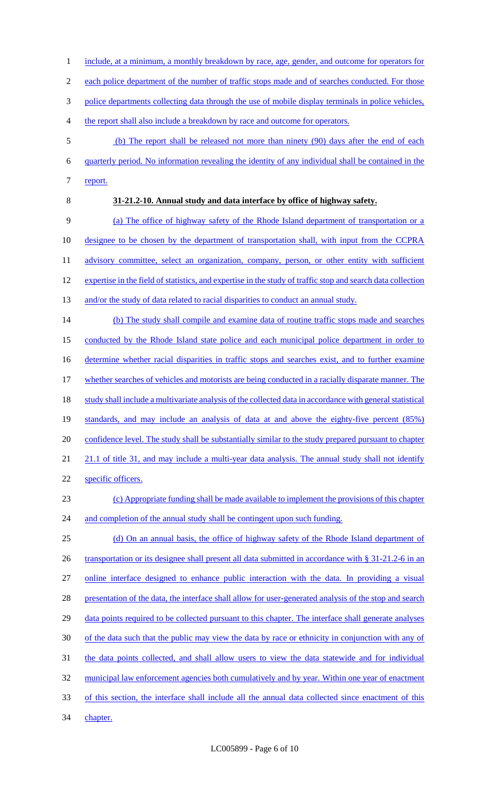- 1 include, at a minimum, a monthly breakdown by race, age, gender, and outcome for operators for
- 2 each police department of the number of traffic stops made and of searches conducted. For those
- 3 police departments collecting data through the use of mobile display terminals in police vehicles,
- 4 the report shall also include a breakdown by race and outcome for operators.
- 5 (b) The report shall be released not more than ninety (90) days after the end of each 6 quarterly period. No information revealing the identity of any individual shall be contained in the 7 report.
- 

# 8 **31-21.2-10. Annual study and data interface by office of highway safety.**

9 (a) The office of highway safety of the Rhode Island department of transportation or a 10 designee to be chosen by the department of transportation shall, with input from the CCPRA 11 advisory committee, select an organization, company, person, or other entity with sufficient 12 expertise in the field of statistics, and expertise in the study of traffic stop and search data collection 13 and/or the study of data related to racial disparities to conduct an annual study.

14 (b) The study shall compile and examine data of routine traffic stops made and searches 15 conducted by the Rhode Island state police and each municipal police department in order to 16 determine whether racial disparities in traffic stops and searches exist, and to further examine 17 whether searches of vehicles and motorists are being conducted in a racially disparate manner. The 18 study shall include a multivariate analysis of the collected data in accordance with general statistical 19 standards, and may include an analysis of data at and above the eighty-five percent (85%) 20 confidence level. The study shall be substantially similar to the study prepared pursuant to chapter 21 21.1 of title 31, and may include a multi-year data analysis. The annual study shall not identify 22 specific officers. 23 (c) Appropriate funding shall be made available to implement the provisions of this chapter

24 and completion of the annual study shall be contingent upon such funding. 25 (d) On an annual basis, the office of highway safety of the Rhode Island department of

26 transportation or its designee shall present all data submitted in accordance with § 31-21.2-6 in an

27 online interface designed to enhance public interaction with the data. In providing a visual

28 presentation of the data, the interface shall allow for user-generated analysis of the stop and search

- 29 data points required to be collected pursuant to this chapter. The interface shall generate analyses
- 30 of the data such that the public may view the data by race or ethnicity in conjunction with any of

31 the data points collected, and shall allow users to view the data statewide and for individual

- 32 municipal law enforcement agencies both cumulatively and by year. Within one year of enactment
- 33 of this section, the interface shall include all the annual data collected since enactment of this

34 chapter.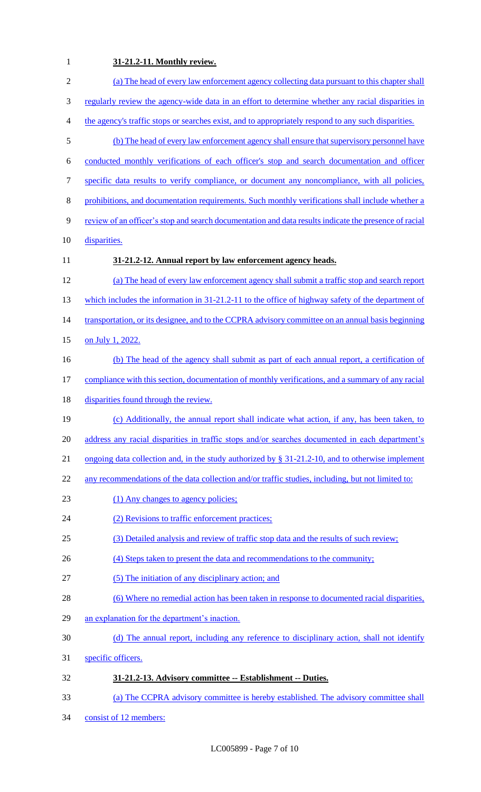# **31-21.2-11. Monthly review.**

| $\sqrt{2}$     | (a) The head of every law enforcement agency collecting data pursuant to this chapter shall           |
|----------------|-------------------------------------------------------------------------------------------------------|
| 3              | regularly review the agency-wide data in an effort to determine whether any racial disparities in     |
| $\overline{4}$ | the agency's traffic stops or searches exist, and to appropriately respond to any such disparities.   |
| $\mathfrak{S}$ | (b) The head of every law enforcement agency shall ensure that supervisory personnel have             |
| 6              | conducted monthly verifications of each officer's stop and search documentation and officer           |
| $\tau$         | specific data results to verify compliance, or document any noncompliance, with all policies,         |
| $8\,$          | prohibitions, and documentation requirements. Such monthly verifications shall include whether a      |
| 9              | review of an officer's stop and search documentation and data results indicate the presence of racial |
| 10             | disparities.                                                                                          |
| 11             | 31-21.2-12. Annual report by law enforcement agency heads.                                            |
| 12             | (a) The head of every law enforcement agency shall submit a traffic stop and search report            |
| 13             | which includes the information in $31-21.2-11$ to the office of highway safety of the department of   |
| 14             | transportation, or its designee, and to the CCPRA advisory committee on an annual basis beginning     |
| 15             | on July 1, 2022.                                                                                      |
| 16             | (b) The head of the agency shall submit as part of each annual report, a certification of             |
| 17             | compliance with this section, documentation of monthly verifications, and a summary of any racial     |
| 18             | disparities found through the review.                                                                 |
| 19             | (c) Additionally, the annual report shall indicate what action, if any, has been taken, to            |
| 20             | address any racial disparities in traffic stops and/or searches documented in each department's       |
| 21             | ongoing data collection and, in the study authorized by $\S$ 31-21.2-10, and to otherwise implement   |
| 22             | any recommendations of the data collection and/or traffic studies, including, but not limited to:     |
| 23             | (1) Any changes to agency policies;                                                                   |
| 24             | (2) Revisions to traffic enforcement practices;                                                       |
| 25             | (3) Detailed analysis and review of traffic stop data and the results of such review;                 |
| 26             | (4) Steps taken to present the data and recommendations to the community;                             |
| 27             | (5) The initiation of any disciplinary action; and                                                    |
| 28             | (6) Where no remedial action has been taken in response to documented racial disparities,             |
| 29             | an explanation for the department's inaction.                                                         |
| 30             | (d) The annual report, including any reference to disciplinary action, shall not identify             |
| 31             | specific officers.                                                                                    |
| 32             | 31-21.2-13. Advisory committee -- Establishment -- Duties.                                            |
| 33             | (a) The CCPRA advisory committee is hereby established. The advisory committee shall                  |
| 34             | consist of 12 members:                                                                                |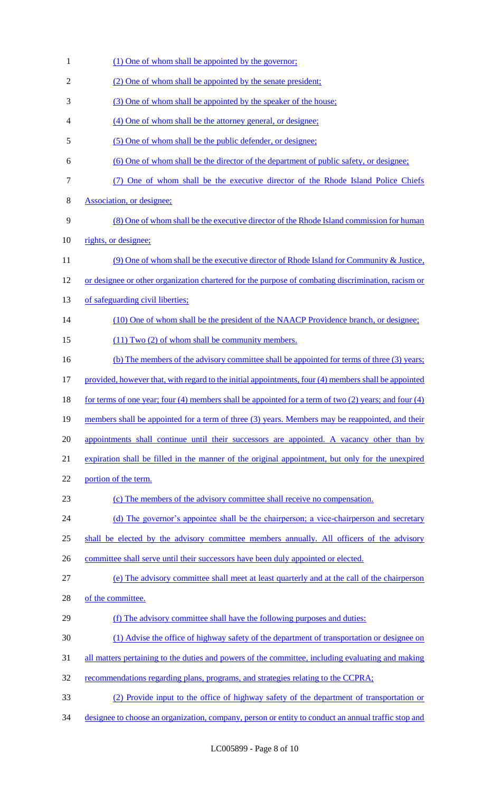1 (1) One of whom shall be appointed by the governor; 2 (2) One of whom shall be appointed by the senate president; 3 (3) One of whom shall be appointed by the speaker of the house; 4 (4) One of whom shall be the attorney general, or designee; 5 (5) One of whom shall be the public defender, or designee; 6 (6) One of whom shall be the director of the department of public safety, or designee; 7 (7) One of whom shall be the executive director of the Rhode Island Police Chiefs 8 Association, or designee; 9 (8) One of whom shall be the executive director of the Rhode Island commission for human 10 rights, or designee; 11 (9) One of whom shall be the executive director of Rhode Island for Community & Justice, 12 or designee or other organization chartered for the purpose of combating discrimination, racism or 13 of safeguarding civil liberties; 14 (10) One of whom shall be the president of the NAACP Providence branch, or designee; 15 (11) Two (2) of whom shall be community members. 16 (b) The members of the advisory committee shall be appointed for terms of three (3) years; 17 provided, however that, with regard to the initial appointments, four (4) members shall be appointed 18 for terms of one year; four (4) members shall be appointed for a term of two (2) years; and four (4) 19 members shall be appointed for a term of three (3) years. Members may be reappointed, and their 20 appointments shall continue until their successors are appointed. A vacancy other than by 21 expiration shall be filled in the manner of the original appointment, but only for the unexpired 22 portion of the term. 23 (c) The members of the advisory committee shall receive no compensation. 24 (d) The governor's appointee shall be the chairperson; a vice-chairperson and secretary 25 shall be elected by the advisory committee members annually. All officers of the advisory 26 committee shall serve until their successors have been duly appointed or elected. 27 (e) The advisory committee shall meet at least quarterly and at the call of the chairperson 28 of the committee. 29 (f) The advisory committee shall have the following purposes and duties: 30 (1) Advise the office of highway safety of the department of transportation or designee on 31 all matters pertaining to the duties and powers of the committee, including evaluating and making 32 recommendations regarding plans, programs, and strategies relating to the CCPRA; 33 (2) Provide input to the office of highway safety of the department of transportation or 34 designee to choose an organization, company, person or entity to conduct an annual traffic stop and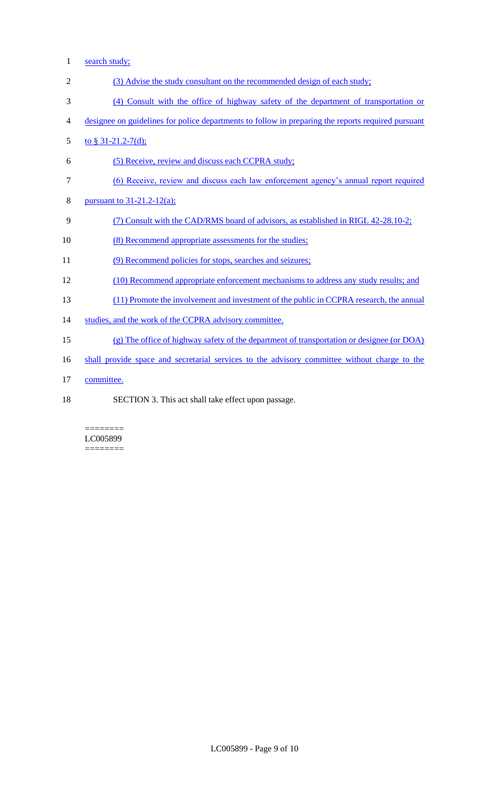- search study;
- (3) Advise the study consultant on the recommended design of each study;
- (4) Consult with the office of highway safety of the department of transportation or
- designee on guidelines for police departments to follow in preparing the reports required pursuant
- 5 to  $\frac{6}{9}$  31-21.2-7(d);
- (5) Receive, review and discuss each CCPRA study;
- (6) Receive, review and discuss each law enforcement agency's annual report required
- pursuant to 31-21.2-12(a);
- (7) Consult with the CAD/RMS board of advisors, as established in RIGL 42-28.10-2;
- (8) Recommend appropriate assessments for the studies;
- 11 (9) Recommend policies for stops, searches and seizures;
- (10) Recommend appropriate enforcement mechanisms to address any study results; and
- (11) Promote the involvement and investment of the public in CCPRA research, the annual
- 14 studies, and the work of the CCPRA advisory committee.
- (g) The office of highway safety of the department of transportation or designee (or DOA)
- 16 shall provide space and secretarial services to the advisory committee without charge to the
- committee.
- 
- SECTION 3. This act shall take effect upon passage.

======== LC005899 ========